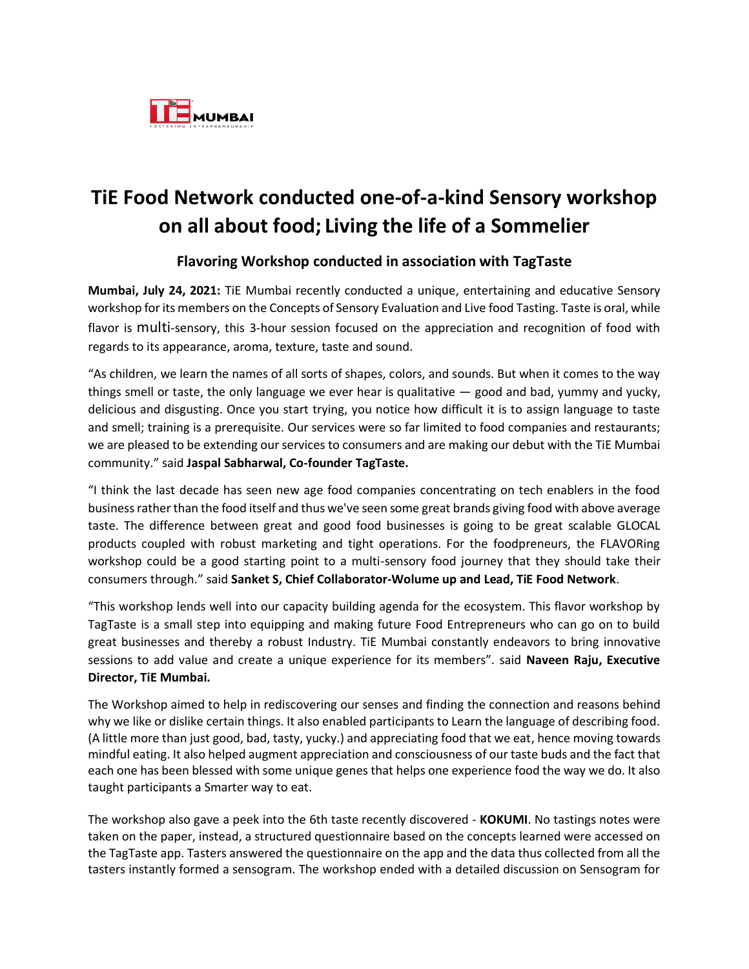

## **TiE Food Network conducted one-of-a-kind Sensory workshop on all about food; Living the life of a Sommelier**

## **Flavoring Workshop conducted in association with TagTaste**

**Mumbai, July 24, 2021:** TiE Mumbai recently conducted a unique, entertaining and educative Sensory workshop for its members on the Concepts of Sensory Evaluation and Live food Tasting. Taste is oral, while flavor is multi-sensory, this 3-hour session focused on the appreciation and recognition of food with regards to its appearance, aroma, texture, taste and sound.

"As children, we learn the names of all sorts of shapes, colors, and sounds. But when it comes to the way things smell or taste, the only language we ever hear is qualitative — good and bad, yummy and yucky, delicious and disgusting. Once you start trying, you notice how difficult it is to assign language to taste and smell; training is a prerequisite. Our services were so far limited to food companies and restaurants; we are pleased to be extending our services to consumers and are making our debut with the TiE Mumbai community." said **Jaspal Sabharwal, Co-founder TagTaste.**

"I think the last decade has seen new age food companies concentrating on tech enablers in the food business rather than the food itself and thus we've seen some great brands giving food with above average taste. The difference between great and good food businesses is going to be great scalable GLOCAL products coupled with robust marketing and tight operations. For the foodpreneurs, the FLAVORing workshop could be a good starting point to a multi-sensory food journey that they should take their consumers through." said **Sanket S, Chief Collaborator-Wolume up and Lead, TiE Food Network**.

"This workshop lends well into our capacity building agenda for the ecosystem. This flavor workshop by TagTaste is a small step into equipping and making future Food Entrepreneurs who can go on to build great businesses and thereby a robust Industry. TiE Mumbai constantly endeavors to bring innovative sessions to add value and create a unique experience for its members". said **Naveen Raju, Executive Director, TiE Mumbai.**

The Workshop aimed to help in rediscovering our senses and finding the connection and reasons behind why we like or dislike certain things. It also enabled participants to Learn the language of describing food. (A little more than just good, bad, tasty, yucky.) and appreciating food that we eat, hence moving towards mindful eating. It also helped augment appreciation and consciousness of our taste buds and the fact that each one has been blessed with some unique genes that helps one experience food the way we do. It also taught participants a Smarter way to eat.

The workshop also gave a peek into the 6th taste recently discovered - **KOKUMI**. No tastings notes were taken on the paper, instead, a structured questionnaire based on the concepts learned were accessed on the TagTaste app. Tasters answered the questionnaire on the app and the data thus collected from all the tasters instantly formed a sensogram. The workshop ended with a detailed discussion on Sensogram for